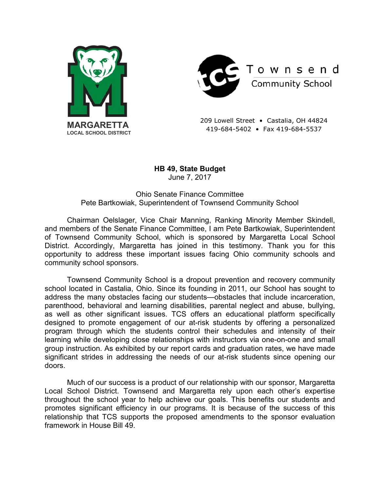



209 Lowell Street • Castalia, OH 44824 419-684-5402 • Fax 419-684-5537

**HB 49, State Budget**  June 7, 2017

## Ohio Senate Finance Committee Pete Bartkowiak, Superintendent of Townsend Community School

 Chairman Oelslager, Vice Chair Manning, Ranking Minority Member Skindell, and members of the Senate Finance Committee, I am Pete Bartkowiak, Superintendent of Townsend Community School, which is sponsored by Margaretta Local School District. Accordingly, Margaretta has joined in this testimony. Thank you for this opportunity to address these important issues facing Ohio community schools and community school sponsors.

 Townsend Community School is a dropout prevention and recovery community school located in Castalia, Ohio. Since its founding in 2011, our School has sought to address the many obstacles facing our students—obstacles that include incarceration, parenthood, behavioral and learning disabilities, parental neglect and abuse, bullying, as well as other significant issues. TCS offers an educational platform specifically designed to promote engagement of our at-risk students by offering a personalized program through which the students control their schedules and intensity of their learning while developing close relationships with instructors via one-on-one and small group instruction. As exhibited by our report cards and graduation rates, we have made significant strides in addressing the needs of our at-risk students since opening our doors.

 Much of our success is a product of our relationship with our sponsor, Margaretta Local School District. Townsend and Margaretta rely upon each other's expertise throughout the school year to help achieve our goals. This benefits our students and promotes significant efficiency in our programs. It is because of the success of this relationship that TCS supports the proposed amendments to the sponsor evaluation framework in House Bill 49.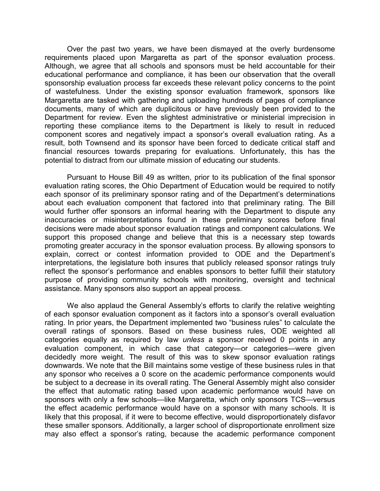Over the past two years, we have been dismayed at the overly burdensome requirements placed upon Margaretta as part of the sponsor evaluation process. Although, we agree that all schools and sponsors must be held accountable for their educational performance and compliance, it has been our observation that the overall sponsorship evaluation process far exceeds these relevant policy concerns to the point of wastefulness. Under the existing sponsor evaluation framework, sponsors like Margaretta are tasked with gathering and uploading hundreds of pages of compliance documents, many of which are duplicitous or have previously been provided to the Department for review. Even the slightest administrative or ministerial imprecision in reporting these compliance items to the Department is likely to result in reduced component scores and negatively impact a sponsor's overall evaluation rating. As a result, both Townsend and its sponsor have been forced to dedicate critical staff and financial resources towards preparing for evaluations. Unfortunately, this has the potential to distract from our ultimate mission of educating our students.

 Pursuant to House Bill 49 as written, prior to its publication of the final sponsor evaluation rating scores, the Ohio Department of Education would be required to notify each sponsor of its preliminary sponsor rating and of the Department's determinations about each evaluation component that factored into that preliminary rating. The Bill would further offer sponsors an informal hearing with the Department to dispute any inaccuracies or misinterpretations found in these preliminary scores before final decisions were made about sponsor evaluation ratings and component calculations. We support this proposed change and believe that this is a necessary step towards promoting greater accuracy in the sponsor evaluation process. By allowing sponsors to explain, correct or contest information provided to ODE and the Department's interpretations, the legislature both insures that publicly released sponsor ratings truly reflect the sponsor's performance and enables sponsors to better fulfill their statutory purpose of providing community schools with monitoring, oversight and technical assistance. Many sponsors also support an appeal process.

 We also applaud the General Assembly's efforts to clarify the relative weighting of each sponsor evaluation component as it factors into a sponsor's overall evaluation rating. In prior years, the Department implemented two "business rules" to calculate the overall ratings of sponsors. Based on these business rules, ODE weighted all categories equally as required by law *unless* a sponsor received 0 points in any evaluation component, in which case that category—or categories—were given decidedly more weight. The result of this was to skew sponsor evaluation ratings downwards. We note that the Bill maintains some vestige of these business rules in that any sponsor who receives a 0 score on the academic performance components would be subject to a decrease in its overall rating. The General Assembly might also consider the effect that automatic rating based upon academic performance would have on sponsors with only a few schools—like Margaretta, which only sponsors TCS—versus the effect academic performance would have on a sponsor with many schools. It is likely that this proposal, if it were to become effective, would disproportionately disfavor these smaller sponsors. Additionally, a larger school of disproportionate enrollment size may also effect a sponsor's rating, because the academic performance component